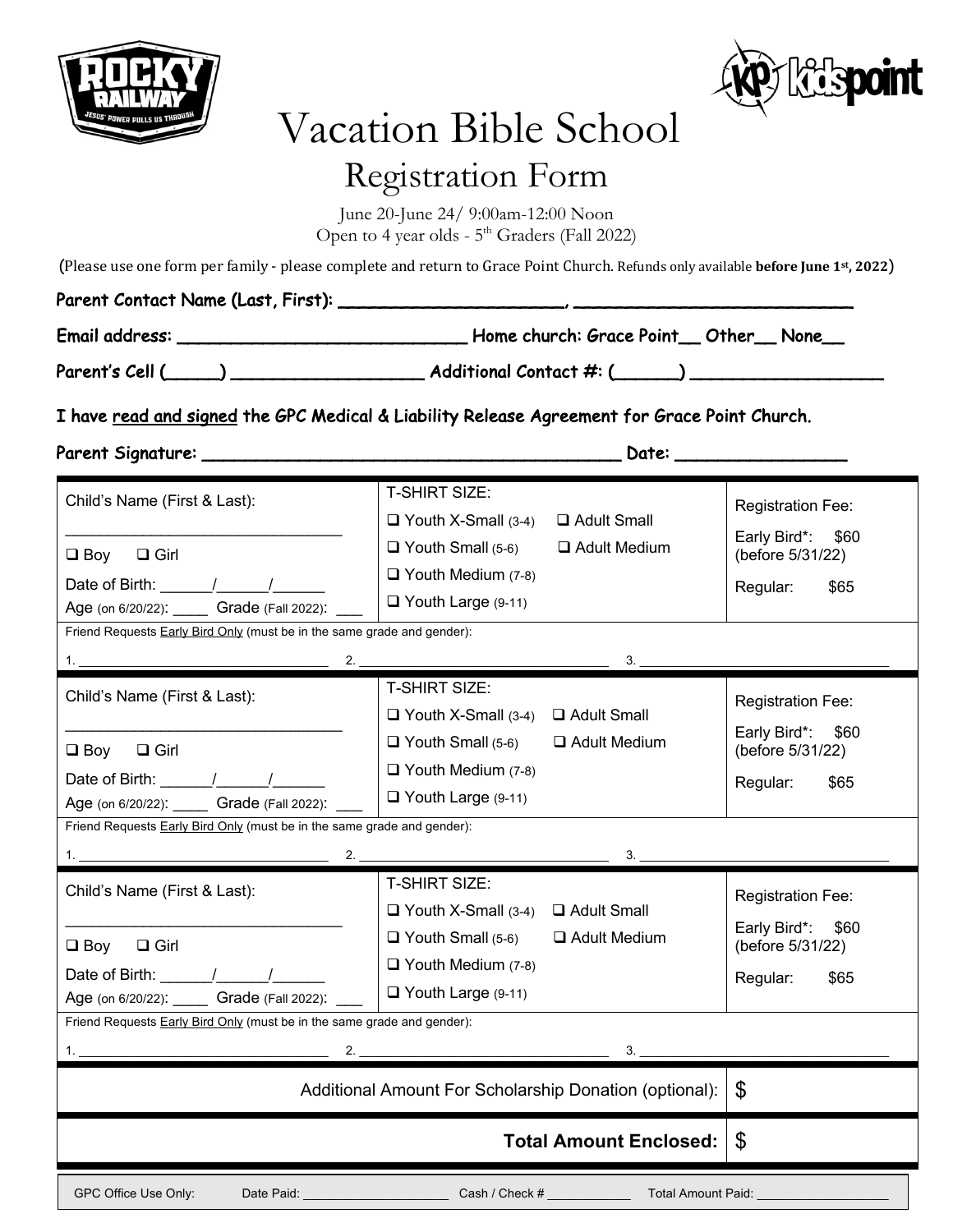



# Vacation Bible School Registration Form

June 20-June 24/ 9:00am-12:00 Noon Open to 4 year olds -  $5<sup>th</sup>$  Graders (Fall 2022)

(Please use one form per family - please complete and return to Grace Point Church. Refunds only available **before June 1st, 2022**)

| Parent Contact Name (Last, First): |                                         |  |  |
|------------------------------------|-----------------------------------------|--|--|
| Email address:                     | Home church: Grace Point__Other__None__ |  |  |
| Parent's Cell (                    | Additional Contact #: (                 |  |  |

I have read and signed the GPC Medical & Liability Release Agreement for Grace Point Church.

Parent Signature: \_\_\_\_\_\_\_\_\_\_\_\_\_\_\_\_\_\_\_\_\_\_\_\_\_\_\_\_\_\_\_\_\_\_\_\_\_\_\_ Date: \_\_\_\_\_\_\_\_\_\_\_\_\_\_\_\_

| ı |  |
|---|--|
|   |  |

| Child's Name (First & Last):<br>$\square$ Girl<br>$\square$ Boy                                                                                                                                                                                                                                                                                                                                                   | <b>T-SHIRT SIZE:</b><br>$\Box$ Youth X-Small (3-4)<br>□ Adult Small<br>$\Box$ Youth Small (5-6)<br>□ Adult Medium | <b>Registration Fee:</b><br>Early Bird*:<br>\$60<br>(before 5/31/22) |  |
|-------------------------------------------------------------------------------------------------------------------------------------------------------------------------------------------------------------------------------------------------------------------------------------------------------------------------------------------------------------------------------------------------------------------|-------------------------------------------------------------------------------------------------------------------|----------------------------------------------------------------------|--|
|                                                                                                                                                                                                                                                                                                                                                                                                                   | $\Box$ Youth Medium (7-8)                                                                                         | Regular:<br>\$65                                                     |  |
| Age (on 6/20/22): ______ Grade (Fall 2022): _                                                                                                                                                                                                                                                                                                                                                                     | $\Box$ Youth Large (9-11)                                                                                         |                                                                      |  |
| Friend Requests Early Bird Only (must be in the same grade and gender):                                                                                                                                                                                                                                                                                                                                           |                                                                                                                   |                                                                      |  |
|                                                                                                                                                                                                                                                                                                                                                                                                                   | 3.<br>$2.$ $\overline{\phantom{a}}$                                                                               |                                                                      |  |
| Child's Name (First & Last):                                                                                                                                                                                                                                                                                                                                                                                      | <b>T-SHIRT SIZE:</b>                                                                                              | <b>Registration Fee:</b>                                             |  |
|                                                                                                                                                                                                                                                                                                                                                                                                                   | $\Box$ Youth X-Small (3-4) $\Box$ Adult Small                                                                     | \$60<br>Early Bird*:                                                 |  |
| $\Box$ Girl<br>$\Box$ Boy                                                                                                                                                                                                                                                                                                                                                                                         | $\Box$ Youth Small (5-6)<br>□ Adult Medium                                                                        | (before 5/31/22)                                                     |  |
| Date of Birth: $\frac{1}{\sqrt{1-\frac{1}{2}}}\frac{1}{\sqrt{1-\frac{1}{2}}}\frac{1}{\sqrt{1-\frac{1}{2}}}\frac{1}{\sqrt{1-\frac{1}{2}}}\frac{1}{\sqrt{1-\frac{1}{2}}}\frac{1}{\sqrt{1-\frac{1}{2}}}\frac{1}{\sqrt{1-\frac{1}{2}}}\frac{1}{\sqrt{1-\frac{1}{2}}}\frac{1}{\sqrt{1-\frac{1}{2}}}\frac{1}{\sqrt{1-\frac{1}{2}}}\frac{1}{\sqrt{1-\frac{1}{2}}}\frac{1}{\sqrt{1-\frac{1}{2}}}\frac{1}{\sqrt{1-\frac{1$ | $\Box$ Youth Medium (7-8)                                                                                         | Regular:<br>\$65                                                     |  |
| Age (on 6/20/22): ______ Grade (Fall 2022): _                                                                                                                                                                                                                                                                                                                                                                     | $\Box$ Youth Large (9-11)                                                                                         |                                                                      |  |
| Friend Requests <b>Early Bird Only</b> (must be in the same grade and gender):                                                                                                                                                                                                                                                                                                                                    |                                                                                                                   |                                                                      |  |
|                                                                                                                                                                                                                                                                                                                                                                                                                   |                                                                                                                   |                                                                      |  |
|                                                                                                                                                                                                                                                                                                                                                                                                                   | 3.                                                                                                                |                                                                      |  |
|                                                                                                                                                                                                                                                                                                                                                                                                                   | <b>T-SHIRT SIZE:</b>                                                                                              |                                                                      |  |
| Child's Name (First & Last):                                                                                                                                                                                                                                                                                                                                                                                      | $\Box$ Youth X-Small (3-4) $\Box$ Adult Small                                                                     | <b>Registration Fee:</b>                                             |  |
| $\Box$ Girl<br>$\Box$ Boy                                                                                                                                                                                                                                                                                                                                                                                         | $\Box$ Youth Small (5-6)<br>□ Adult Medium                                                                        | Early Bird*:<br>\$60                                                 |  |
|                                                                                                                                                                                                                                                                                                                                                                                                                   | $\Box$ Youth Medium (7-8)                                                                                         | (before 5/31/22)                                                     |  |
| Date of Birth: $\frac{1}{2}$ /<br>Age (on 6/20/22): Grade (Fall 2022):                                                                                                                                                                                                                                                                                                                                            | $\Box$ Youth Large (9-11)                                                                                         | Regular:<br>\$65                                                     |  |
| Friend Requests Early Bird Only (must be in the same grade and gender):                                                                                                                                                                                                                                                                                                                                           |                                                                                                                   |                                                                      |  |
| $\mathbf{1}$ .                                                                                                                                                                                                                                                                                                                                                                                                    | 2.<br>$\frac{3.2}{\frac{3}{\frac{3}{2}}}}$                                                                        |                                                                      |  |
|                                                                                                                                                                                                                                                                                                                                                                                                                   | Additional Amount For Scholarship Donation (optional):                                                            | $\mathfrak{L}$                                                       |  |
|                                                                                                                                                                                                                                                                                                                                                                                                                   | <b>Total Amount Enclosed:</b>                                                                                     | \$                                                                   |  |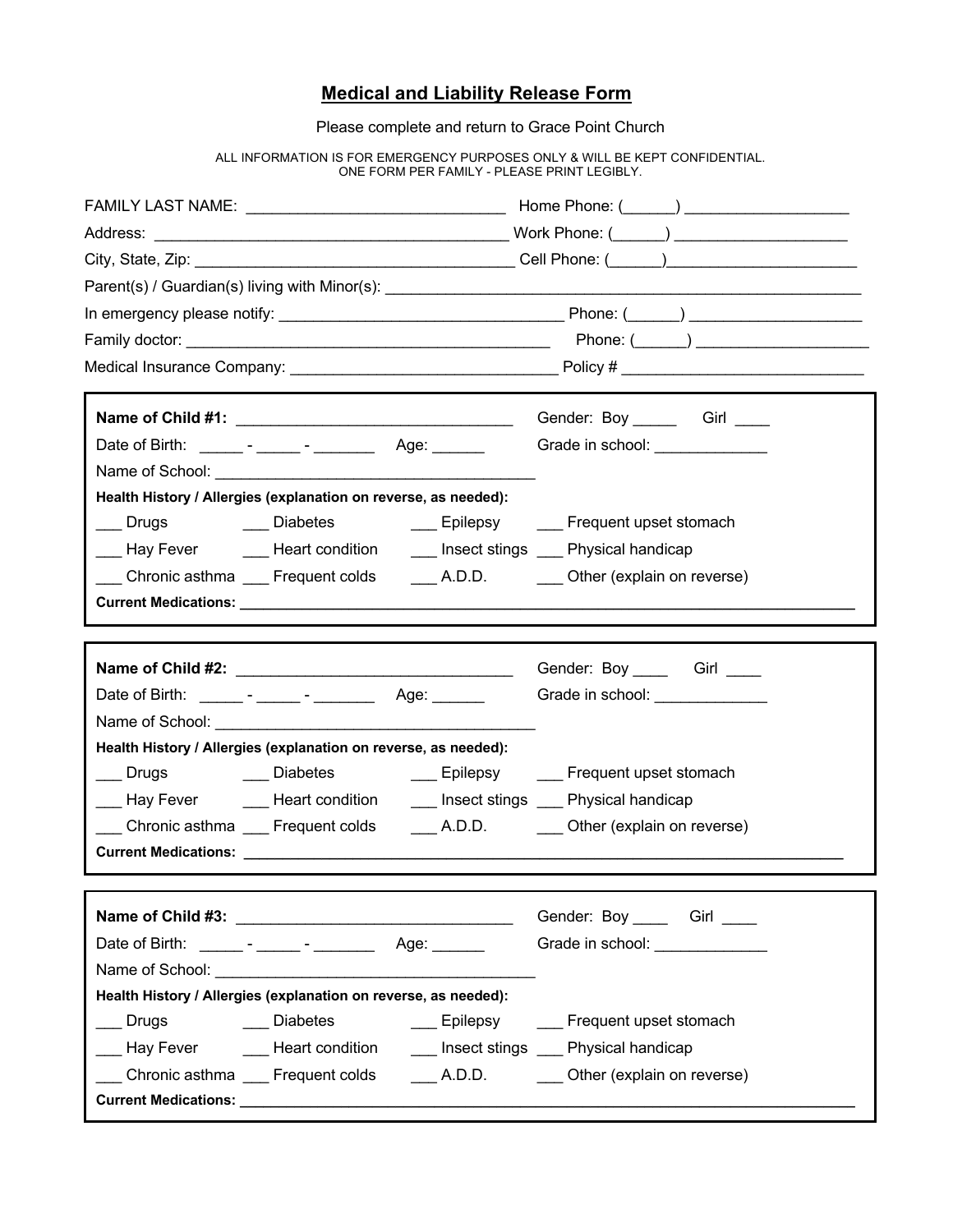### **Medical and Liability Release Form**

Please complete and return to Grace Point Church

ALL INFORMATION IS FOR EMERGENCY PURPOSES ONLY & WILL BE KEPT CONFIDENTIAL. ONE FORM PER FAMILY - PLEASE PRINT LEGIBLY.

|                                                                                            | Gender: Boy ________ Girl _____ |  |
|--------------------------------------------------------------------------------------------|---------------------------------|--|
| Date of Birth: ______- - ______ - ____________ Age: _______                                | Grade in school: ______________ |  |
|                                                                                            |                                 |  |
| Health History / Allergies (explanation on reverse, as needed):                            |                                 |  |
| ___ Drugs      ___ Diabetes      ___ Epilepsy    ___ Frequent upset stomach                |                                 |  |
| Lay Fever The Heart condition The Insect stings Compysical handicap                        |                                 |  |
| Chronic asthma Frequent colds __________________________________Other (explain on reverse) |                                 |  |
|                                                                                            |                                 |  |
|                                                                                            |                                 |  |
|                                                                                            | Gender: Boy _____ Girl ____     |  |
|                                                                                            |                                 |  |
|                                                                                            |                                 |  |
| Health History / Allergies (explanation on reverse, as needed):                            |                                 |  |
| ___ Drugs      ____ Diabetes      ____ Epilepsy    ___ Frequent upset stomach              |                                 |  |
| __ Hay Fever _______ Heart condition ______ Insect stings ____ Physical handicap           |                                 |  |
| Chronic asthma ____ Frequent colds ________ A.D.D. ________ Other (explain on reverse)     |                                 |  |
|                                                                                            |                                 |  |
|                                                                                            | Gender: Boy ______ Girl _____   |  |
| Date of Birth: _________ - _______ - ___________ Age: _______                              | Grade in school:                |  |
|                                                                                            |                                 |  |
| Health History / Allergies (explanation on reverse, as needed):                            |                                 |  |
| Drugs                                                                                      |                                 |  |
| __ Hay Fever    ___ Heart condition    ___ Insect stings ___ Physical handicap             |                                 |  |
| Chronic asthma Frequent colds A.D.D. Other (explain on reverse)                            |                                 |  |
|                                                                                            |                                 |  |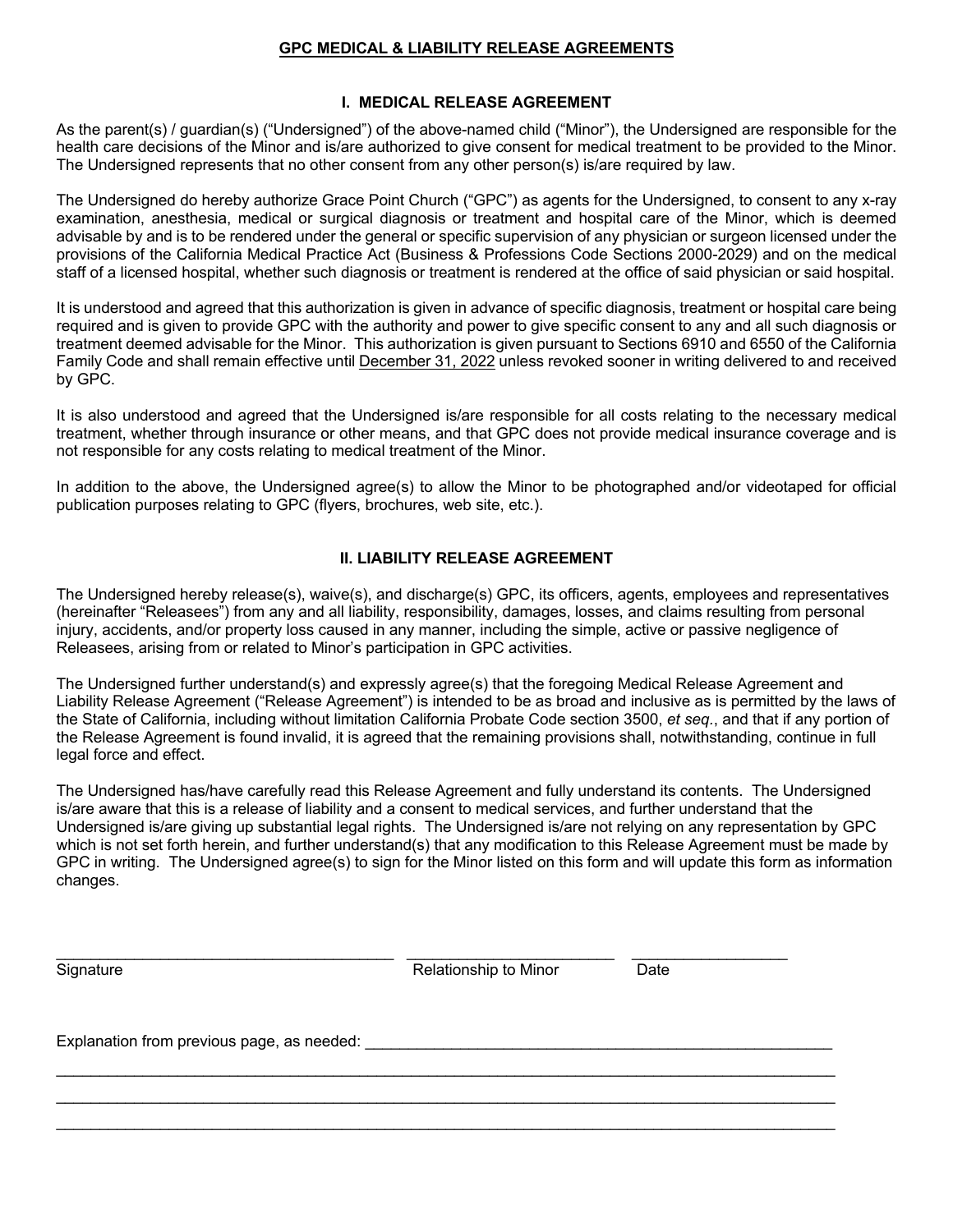#### **GPC MEDICAL & LIABILITY RELEASE AGREEMENTS**

#### **I. MEDICAL RELEASE AGREEMENT**

As the parent(s) / guardian(s) ("Undersigned") of the above-named child ("Minor"), the Undersigned are responsible for the health care decisions of the Minor and is/are authorized to give consent for medical treatment to be provided to the Minor. The Undersigned represents that no other consent from any other person(s) is/are required by law.

The Undersigned do hereby authorize Grace Point Church ("GPC") as agents for the Undersigned, to consent to any x-ray examination, anesthesia, medical or surgical diagnosis or treatment and hospital care of the Minor, which is deemed advisable by and is to be rendered under the general or specific supervision of any physician or surgeon licensed under the provisions of the California Medical Practice Act (Business & Professions Code Sections 2000-2029) and on the medical staff of a licensed hospital, whether such diagnosis or treatment is rendered at the office of said physician or said hospital.

It is understood and agreed that this authorization is given in advance of specific diagnosis, treatment or hospital care being required and is given to provide GPC with the authority and power to give specific consent to any and all such diagnosis or treatment deemed advisable for the Minor. This authorization is given pursuant to Sections 6910 and 6550 of the California Family Code and shall remain effective until December 31, 2022 unless revoked sooner in writing delivered to and received by GPC.

It is also understood and agreed that the Undersigned is/are responsible for all costs relating to the necessary medical treatment, whether through insurance or other means, and that GPC does not provide medical insurance coverage and is not responsible for any costs relating to medical treatment of the Minor.

In addition to the above, the Undersigned agree(s) to allow the Minor to be photographed and/or videotaped for official publication purposes relating to GPC (flyers, brochures, web site, etc.).

#### **II. LIABILITY RELEASE AGREEMENT**

The Undersigned hereby release(s), waive(s), and discharge(s) GPC, its officers, agents, employees and representatives (hereinafter "Releasees") from any and all liability, responsibility, damages, losses, and claims resulting from personal injury, accidents, and/or property loss caused in any manner, including the simple, active or passive negligence of Releasees, arising from or related to Minor's participation in GPC activities.

The Undersigned further understand(s) and expressly agree(s) that the foregoing Medical Release Agreement and Liability Release Agreement ("Release Agreement") is intended to be as broad and inclusive as is permitted by the laws of the State of California, including without limitation California Probate Code section 3500, *et seq.*, and that if any portion of the Release Agreement is found invalid, it is agreed that the remaining provisions shall, notwithstanding, continue in full legal force and effect.

The Undersigned has/have carefully read this Release Agreement and fully understand its contents. The Undersigned is/are aware that this is a release of liability and a consent to medical services, and further understand that the Undersigned is/are giving up substantial legal rights. The Undersigned is/are not relying on any representation by GPC which is not set forth herein, and further understand(s) that any modification to this Release Agreement must be made by GPC in writing. The Undersigned agree(s) to sign for the Minor listed on this form and will update this form as information changes.

| Signature                                    | Relationship to Minor | Date |
|----------------------------------------------|-----------------------|------|
| Explanation from previous page, as needed: _ |                       |      |
|                                              |                       |      |